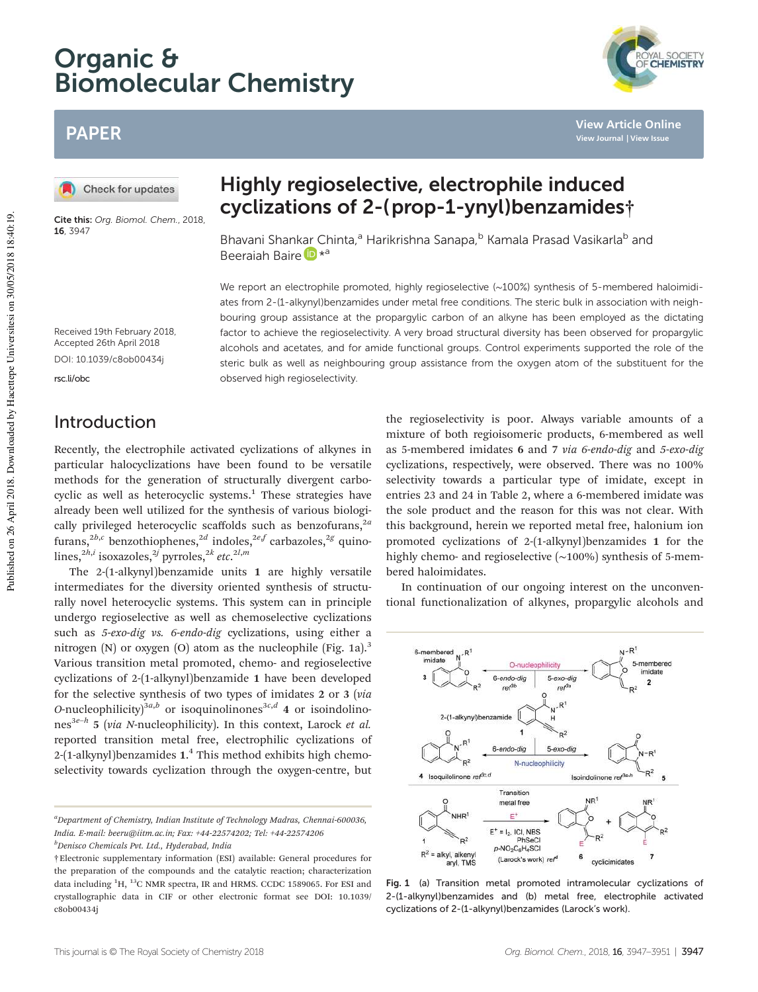# Organic & Biomolecular Chemistry

## PAPER

Check for updates

Cite this: Org. Biomol. Chem., 2018, 16, 3947

## Highly regioselective, electrophile induced cyclizations of 2-(prop-1-ynyl)benzamides†

Bhavani Shankar Chinta,<sup>a</sup> Harikrishna Sanapa,<sup>b</sup> Kamala Prasad Vasikarla<sup>b</sup> and Beeraiah Baire D \*<sup>a</sup>

We report an electrophile promoted, highly regioselective (~100%) synthesis of 5-membered haloimidiates from 2-(1-alkynyl)benzamides under metal free conditions. The steric bulk in association with neighbouring group assistance at the propargylic carbon of an alkyne has been employed as the dictating factor to achieve the regioselectivity. A very broad structural diversity has been observed for propargylic alcohols and acetates, and for amide functional groups. Control experiments supported the role of the steric bulk as well as neighbouring group assistance from the oxygen atom of the substituent for the observed high regioselectivity.

Accepted 26th April 2018 DOI: 10.1039/c8ob00434j

Received 19th February 2018,

rsc.li/obc

## Introduction

Recently, the electrophile activated cyclizations of alkynes in particular halocyclizations have been found to be versatile methods for the generation of structurally divergent carbocyclic as well as heterocyclic systems.<sup>1</sup> These strategies have already been well utilized for the synthesis of various biologically privileged heterocyclic scaffolds such as benzofurans,<sup>2*a*</sup> furans,<sup>2*b*,*c*</sup> benzothiophenes,<sup>2*d*</sup> indoles,<sup>2*e*,*f*</sup> carbazoles,<sup>2*g*</sup> quinolines,2*h*,*<sup>i</sup>* isoxazoles,2*<sup>j</sup>* pyrroles,2*<sup>k</sup> etc*. 2*l*,*m*

The 2-(1-alkynyl)benzamide units 1 are highly versatile intermediates for the diversity oriented synthesis of structurally novel heterocyclic systems. This system can in principle undergo regioselective as well as chemoselective cyclizations such as *5*-*exo*-*dig vs. 6*-*endo*-*dig* cyclizations, using either a nitrogen  $(N)$  or oxygen  $(O)$  atom as the nucleophile (Fig. 1a).<sup>3</sup> Various transition metal promoted, chemo- and regioselective cyclizations of 2-(1-alkynyl)benzamide 1 have been developed for the selective synthesis of two types of imidates 2 or 3 (*via O*-nucleophilicity)<sup>3*a*,*b*</sup> or isoquinolinones<sup>3*c*,*d*</sup> 4 or isoindolinones3*e*–*<sup>h</sup>* 5 (*via N*-nucleophilicity). In this context, Larock *et al.* reported transition metal free, electrophilic cyclizations of 2-(1-alkynyl)benzamides 1.<sup>4</sup> This method exhibits high chemoselectivity towards cyclization through the oxygen-centre, but

*<sup>a</sup>Department of Chemistry, Indian Institute of Technology Madras, Chennai-600036, India. E-mail: beeru@iitm.ac.in; Fax: +44-22574202; Tel: +44-22574206*

*<sup>b</sup>Denisco Chemicals Pvt. Ltd., Hyderabad, India*

the regioselectivity is poor. Always variable amounts of a mixture of both regioisomeric products, 6-membered as well as 5-membered imidates 6 and 7 *via 6*-*endo*-*dig* and *5*-*exo*-*dig* cyclizations, respectively, were observed. There was no 100% selectivity towards a particular type of imidate, except in entries 23 and 24 in Table 2, where a 6-membered imidate was the sole product and the reason for this was not clear. With this background, herein we reported metal free, halonium ion promoted cyclizations of 2-(1-alkynyl)benzamides 1 for the highly chemo- and regioselective (∼100%) synthesis of 5-membered haloimidates.

In continuation of our ongoing interest on the unconventional functionalization of alkynes, propargylic alcohols and



Fig. 1 (a) Transition metal promoted intramolecular cyclizations of 2-(1-alkynyl)benzamides and (b) metal free, electrophile activated cyclizations of 2-(1-alkynyl)benzamides (Larock's work).

**View Article Online View Journal | View Issue**

<sup>†</sup>Electronic supplementary information (ESI) available: General procedures for the preparation of the compounds and the catalytic reaction; characterization data including  ${}^{1}H$ ,  ${}^{13}C$  NMR spectra, IR and HRMS. CCDC 1589065. For ESI and crystallographic data in CIF or other electronic format see DOI: 10.1039/ c8ob00434j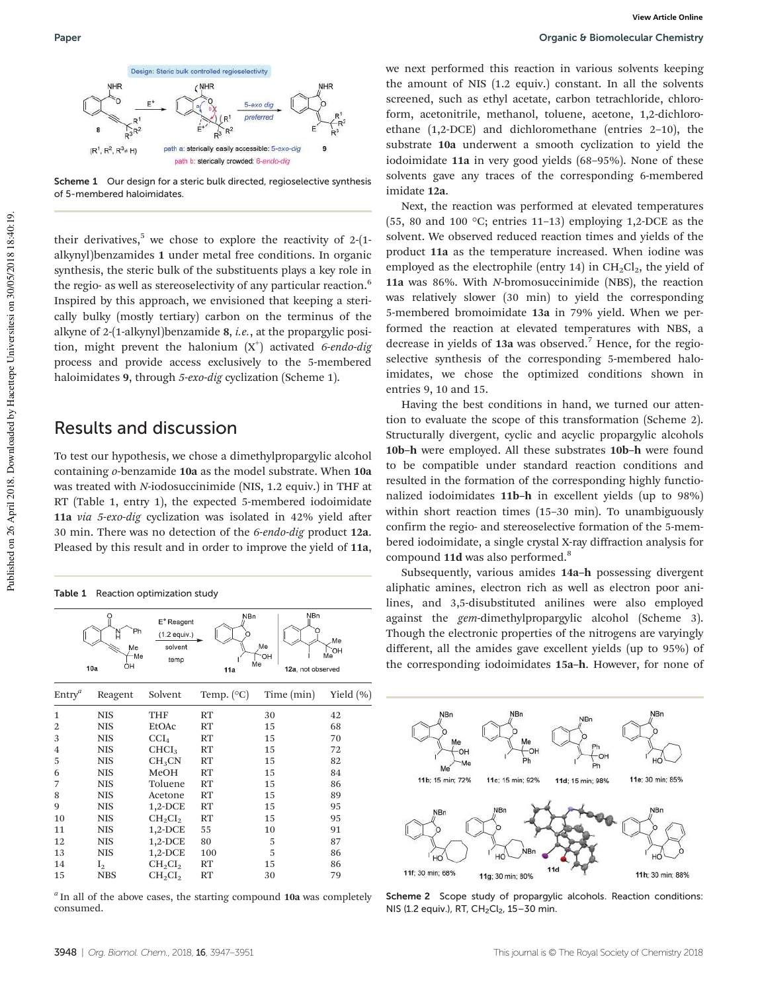

Scheme 1 Our design for a steric bulk directed, regioselective synthesis of 5-membered haloimidates.

their derivatives,<sup>5</sup> we chose to explore the reactivity of  $2-(1-\epsilon)$ alkynyl)benzamides 1 under metal free conditions. In organic synthesis, the steric bulk of the substituents plays a key role in the regio- as well as stereoselectivity of any particular reaction.<sup>6</sup> Inspired by this approach, we envisioned that keeping a sterically bulky (mostly tertiary) carbon on the terminus of the alkyne of 2-(1-alkynyl)benzamide 8, *i.e.*, at the propargylic position, might prevent the halonium (X<sup>+</sup> ) activated *6*-*endo*-*dig* process and provide access exclusively to the 5-membered haloimidates 9, through *5*-*exo*-*dig* cyclization (Scheme 1).

#### Results and discussion

To test our hypothesis, we chose a dimethylpropargylic alcohol containing *o*-benzamide 10a as the model substrate. When 10a was treated with *N*-iodosuccinimide (NIS, 1.2 equiv.) in THF at RT (Table 1, entry 1), the expected 5-membered iodoimidate 11a *via 5*-*exo*-*dig* cyclization was isolated in 42% yield after 30 min. There was no detection of the *6*-*endo*-*dig* product 12a. Pleased by this result and in order to improve the yield of 11a,

| Table 1 Reaction optimization study |                             |                                                           |                        |                                                    |                 |
|-------------------------------------|-----------------------------|-----------------------------------------------------------|------------------------|----------------------------------------------------|-----------------|
|                                     | Ph<br>Me<br>Me<br>ÒН<br>10a | E <sup>+</sup> Reagent<br>(1.2 equiv.)<br>solvent<br>temp | N <sub>Bn</sub><br>11a | <b>NBn</b><br>Me<br>`OH<br>Me<br>12a, not observed | Me<br>`OH<br>Me |
| $Entry^a$                           | Reagent                     | Solvent                                                   | Temp. $({}^{\circ}C)$  | Time (min)                                         | Yield $(\% )$   |
| $\mathbf{1}$                        | NIS                         | THF                                                       | RT                     | 30                                                 | 42              |
| 2                                   | <b>NIS</b>                  | EtOAc                                                     | RT                     | 15                                                 | 68              |
| 3                                   | <b>NIS</b>                  | $\mathrm{CCI}_4$                                          | RT                     | 15                                                 | 70              |
| $\overline{4}$                      | <b>NIS</b>                  | CHCI <sub>3</sub>                                         | RT                     | 15                                                 | 72              |
| 5                                   | <b>NIS</b>                  | CH <sub>3</sub> CN                                        | RT                     | 15                                                 | 82              |
| 6                                   | <b>NIS</b>                  | MeOH                                                      | RT                     | 15                                                 | 84              |
| 7                                   | NIS                         | Toluene                                                   | RT                     | 15                                                 | 86              |
| 8                                   | <b>NIS</b>                  | Acetone                                                   | RT                     | 15                                                 | 89              |
| 9                                   | <b>NIS</b>                  | $1,2$ -DCE                                                | RT                     | 15                                                 | 95              |
| 10                                  | <b>NIS</b>                  | $CH_2CI_2$                                                | RT                     | 15                                                 | 95              |
| 11                                  | <b>NIS</b>                  | $1,2$ -DCE                                                | 55                     | 10                                                 | 91              |
| 12                                  | <b>NIS</b>                  | $1,2$ -DCE                                                | 80                     | 5                                                  | 87              |
| 13                                  | <b>NIS</b>                  | $1,2$ -DCE                                                | 100                    | 5                                                  | 86              |
| 14                                  | $I_2$                       | $CH_2Cl_2$                                                | RT                     | 15                                                 | 86              |
| 15                                  | <b>NBS</b>                  | $CH_2Cl_2$                                                | RT                     | 30                                                 | 79              |

*a* In all of the above cases, the starting compound 10a was completely consumed.

we next performed this reaction in various solvents keeping the amount of NIS (1.2 equiv.) constant. In all the solvents screened, such as ethyl acetate, carbon tetrachloride, chloroform, acetonitrile, methanol, toluene, acetone, 1,2-dichloroethane (1,2-DCE) and dichloromethane (entries 2–10), the substrate 10a underwent a smooth cyclization to yield the iodoimidate 11a in very good yields (68–95%). None of these solvents gave any traces of the corresponding 6-membered imidate 12a.

Next, the reaction was performed at elevated temperatures (55, 80 and 100  $\degree$ C; entries 11–13) employing 1,2-DCE as the solvent. We observed reduced reaction times and yields of the product 11a as the temperature increased. When iodine was employed as the electrophile (entry 14) in  $CH_2Cl_2$ , the yield of 11a was 86%. With *N*-bromosuccinimide (NBS), the reaction was relatively slower (30 min) to yield the corresponding 5-membered bromoimidate 13a in 79% yield. When we performed the reaction at elevated temperatures with NBS, a decrease in yields of  $13a$  was observed.<sup>7</sup> Hence, for the regioselective synthesis of the corresponding 5-membered haloimidates, we chose the optimized conditions shown in entries 9, 10 and 15.

Having the best conditions in hand, we turned our attention to evaluate the scope of this transformation (Scheme 2). Structurally divergent, cyclic and acyclic propargylic alcohols 10b–h were employed. All these substrates 10b–h were found to be compatible under standard reaction conditions and resulted in the formation of the corresponding highly functionalized iodoimidates 11b–h in excellent yields (up to 98%) within short reaction times (15–30 min). To unambiguously confirm the regio- and stereoselective formation of the 5-membered iodoimidate, a single crystal X-ray diffraction analysis for compound 11d was also performed.<sup>8</sup>

Subsequently, various amides 14a–h possessing divergent aliphatic amines, electron rich as well as electron poor anilines, and 3,5-disubstituted anilines were also employed against the *gem*-dimethylpropargylic alcohol (Scheme 3). Though the electronic properties of the nitrogens are varyingly different, all the amides gave excellent yields (up to 95%) of the corresponding iodoimidates 15a–h. However, for none of



Scheme 2 Scope study of propargylic alcohols. Reaction conditions: NIS (1.2 equiv.), RT, CH<sub>2</sub>Cl<sub>2</sub>, 15-30 min.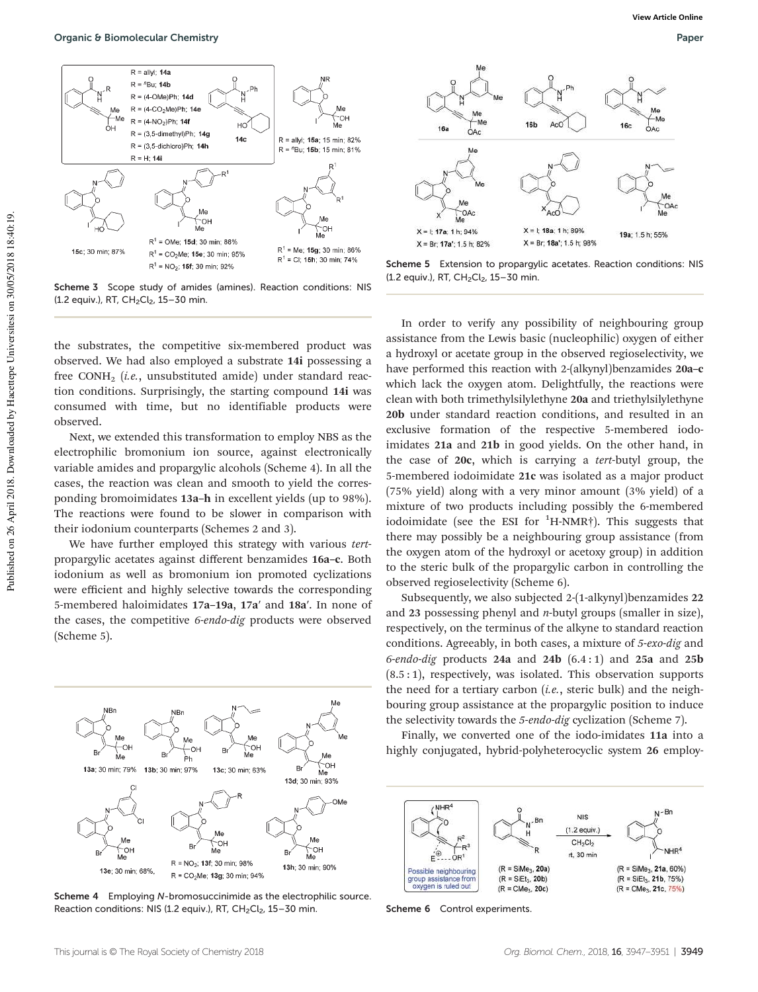

Scheme 3 Scope study of amides (amines). Reaction conditions: NIS  $(1.2 \text{ equiv.})$ , RT, CH<sub>2</sub>Cl<sub>2</sub>, 15-30 min.

the substrates, the competitive six-membered product was observed. We had also employed a substrate 14i possessing a free CONH<sup>2</sup> (*i.e.*, unsubstituted amide) under standard reaction conditions. Surprisingly, the starting compound 14i was consumed with time, but no identifiable products were observed.

Next, we extended this transformation to employ NBS as the electrophilic bromonium ion source, against electronically variable amides and propargylic alcohols (Scheme 4). In all the cases, the reaction was clean and smooth to yield the corresponding bromoimidates 13a–h in excellent yields (up to 98%). The reactions were found to be slower in comparison with their iodonium counterparts (Schemes 2 and 3).

We have further employed this strategy with various *tert*propargylic acetates against different benzamides 16a–c. Both iodonium as well as bromonium ion promoted cyclizations were efficient and highly selective towards the corresponding 5-membered haloimidates 17a–19a, 17a′ and 18a′. In none of the cases, the competitive *6*-*endo*-*dig* products were observed (Scheme 5).



Scheme 4 Employing N-bromosuccinimide as the electrophilic source. Reaction conditions: NIS (1.2 equiv.), RT,  $CH<sub>2</sub>Cl<sub>2</sub>$ , 15-30 min.



Scheme 5 Extension to propargylic acetates. Reaction conditions: NIS (1.2 equiv.), RT, CH<sub>2</sub>Cl<sub>2</sub>, 15-30 min.

In order to verify any possibility of neighbouring group assistance from the Lewis basic (nucleophilic) oxygen of either a hydroxyl or acetate group in the observed regioselectivity, we have performed this reaction with 2-(alkynyl)benzamides 20a-c which lack the oxygen atom. Delightfully, the reactions were clean with both trimethylsilylethyne 20a and triethylsilylethyne 20b under standard reaction conditions, and resulted in an exclusive formation of the respective 5-membered iodoimidates 21a and 21b in good yields. On the other hand, in the case of 20c, which is carrying a *tert*-butyl group, the 5-membered iodoimidate 21c was isolated as a major product (75% yield) along with a very minor amount (3% yield) of a mixture of two products including possibly the 6-membered iodoimidate (see the ESI for  ${}^{1}$ H-NMR<sup>†</sup>). This suggests that there may possibly be a neighbouring group assistance (from the oxygen atom of the hydroxyl or acetoxy group) in addition to the steric bulk of the propargylic carbon in controlling the observed regioselectivity (Scheme 6).

Subsequently, we also subjected 2-(1-alkynyl)benzamides 22 and 23 possessing phenyl and *n*-butyl groups (smaller in size), respectively, on the terminus of the alkyne to standard reaction conditions. Agreeably, in both cases, a mixture of *5*-*exo*-*dig* and *6*-*endo*-*dig* products 24a and 24b (6.4 : 1) and 25a and 25b  $(8.5:1)$ , respectively, was isolated. This observation supports the need for a tertiary carbon (*i.e.*, steric bulk) and the neighbouring group assistance at the propargylic position to induce the selectivity towards the *5*-*endo*-*dig* cyclization (Scheme 7).

Finally, we converted one of the iodo-imidates 11a into a highly conjugated, hybrid-polyheterocyclic system 26 employ-



Scheme 6 Control experiments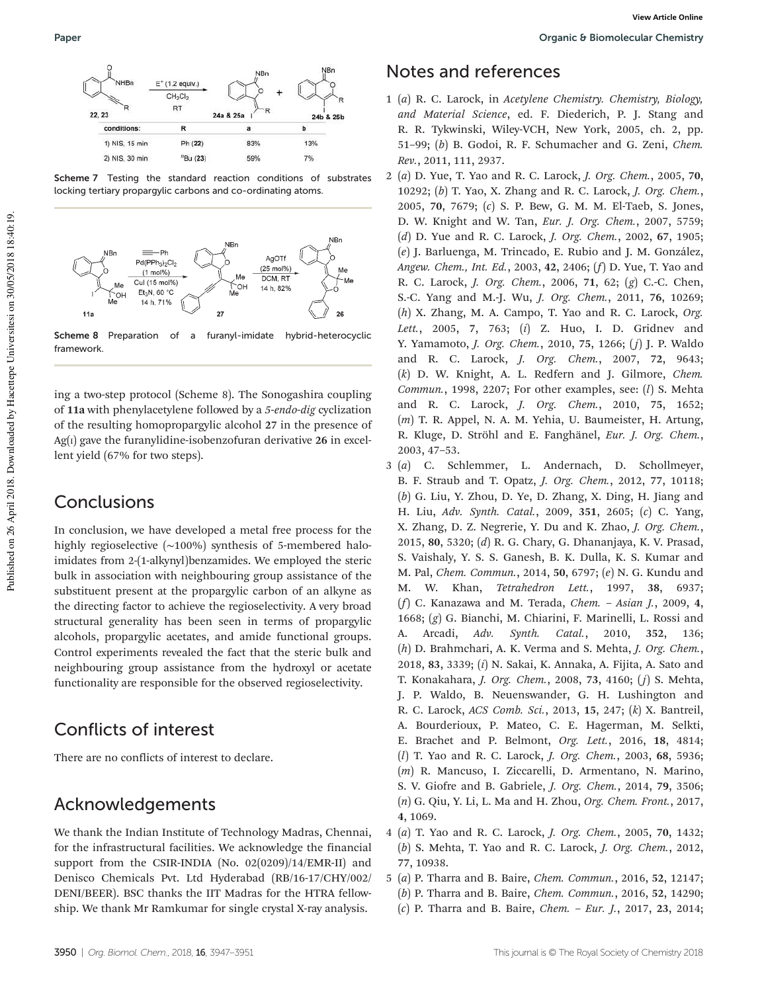

Scheme 7 Testing the standard reaction conditions of substrates locking tertiary propargylic carbons and co-ordinating atoms.



Scheme 8 Preparation of a furanyl-imidate hybrid-heterocyclic framework.

ing a two-step protocol (Scheme 8). The Sonogashira coupling of 11a with phenylacetylene followed by a *5*-*endo*-*dig* cyclization of the resulting homopropargylic alcohol 27 in the presence of  $Ag(i)$  gave the furanylidine-isobenzofuran derivative 26 in excellent yield (67% for two steps).

### **Conclusions**

In conclusion, we have developed a metal free process for the highly regioselective (∼100%) synthesis of 5-membered haloimidates from 2-(1-alkynyl)benzamides. We employed the steric bulk in association with neighbouring group assistance of the substituent present at the propargylic carbon of an alkyne as the directing factor to achieve the regioselectivity. A very broad structural generality has been seen in terms of propargylic alcohols, propargylic acetates, and amide functional groups. Control experiments revealed the fact that the steric bulk and neighbouring group assistance from the hydroxyl or acetate functionality are responsible for the observed regioselectivity.

## Conflicts of interest

There are no conflicts of interest to declare.

### Acknowledgements

We thank the Indian Institute of Technology Madras, Chennai, for the infrastructural facilities. We acknowledge the financial support from the CSIR-INDIA (No. 02(0209)/14/EMR-II) and Denisco Chemicals Pvt. Ltd Hyderabad (RB/16-17/CHY/002/ DENI/BEER). BSC thanks the IIT Madras for the HTRA fellowship. We thank Mr Ramkumar for single crystal X-ray analysis.

## Notes and references

- 1 (*a*) R. C. Larock, in *Acetylene Chemistry. Chemistry, Biology, and Material Science*, ed. F. Diederich, P. J. Stang and R. R. Tykwinski, Wiley-VCH, New York, 2005, ch. 2, pp. 51–99; (*b*) B. Godoi, R. F. Schumacher and G. Zeni, *Chem. Rev.*, 2011, 111, 2937.
- 2 (*a*) D. Yue, T. Yao and R. C. Larock, *J. Org. Chem.*, 2005, 70, 10292; (*b*) T. Yao, X. Zhang and R. C. Larock, *J. Org. Chem.*, 2005, 70, 7679; (*c*) S. P. Bew, G. M. M. El-Taeb, S. Jones, D. W. Knight and W. Tan, *Eur. J. Org. Chem.*, 2007, 5759; (*d*) D. Yue and R. C. Larock, *J. Org. Chem.*, 2002, 67, 1905; (*e*) J. Barluenga, M. Trincado, E. Rubio and J. M. González, *Angew. Chem., Int. Ed.*, 2003, 42, 2406; (*f*) D. Yue, T. Yao and R. C. Larock, *J. Org. Chem.*, 2006, 71, 62; (*g*) C.-C. Chen, S.-C. Yang and M.-J. Wu, *J. Org. Chem.*, 2011, 76, 10269; (*h*) X. Zhang, M. A. Campo, T. Yao and R. C. Larock, *Org. Lett.*, 2005, 7, 763; (*i*) Z. Huo, I. D. Gridnev and Y. Yamamoto, *J. Org. Chem.*, 2010, 75, 1266; ( *j*) J. P. Waldo and R. C. Larock, *J. Org. Chem.*, 2007, 72, 9643; (*k*) D. W. Knight, A. L. Redfern and J. Gilmore, *Chem. Commun.*, 1998, 2207; For other examples, see: (*l*) S. Mehta and R. C. Larock, *J. Org. Chem.*, 2010, 75, 1652; (*m*) T. R. Appel, N. A. M. Yehia, U. Baumeister, H. Artung, R. Kluge, D. Ströhl and E. Fanghänel, *Eur. J. Org. Chem.*, 2003, 47–53.
- 3 (*a*) C. Schlemmer, L. Andernach, D. Schollmeyer, B. F. Straub and T. Opatz, *J. Org. Chem.*, 2012, 77, 10118; (*b*) G. Liu, Y. Zhou, D. Ye, D. Zhang, X. Ding, H. Jiang and H. Liu, *Adv. Synth. Catal.*, 2009, 351, 2605; (*c*) C. Yang, X. Zhang, D. Z. Negrerie, Y. Du and K. Zhao, *J. Org. Chem.*, 2015, 80, 5320; (*d*) R. G. Chary, G. Dhananjaya, K. V. Prasad, S. Vaishaly, Y. S. S. Ganesh, B. K. Dulla, K. S. Kumar and M. Pal, *Chem. Commun.*, 2014, 50, 6797; (*e*) N. G. Kundu and M. W. Khan, *Tetrahedron Lett.*, 1997, 38, 6937; (*f*) C. Kanazawa and M. Terada, *Chem.* – *Asian J.*, 2009, 4, 1668; (*g*) G. Bianchi, M. Chiarini, F. Marinelli, L. Rossi and A. Arcadi, *Adv. Synth. Catal.*, 2010, 352, 136; (*h*) D. Brahmchari, A. K. Verma and S. Mehta, *J. Org. Chem.*, 2018, 83, 3339; (*i*) N. Sakai, K. Annaka, A. Fijita, A. Sato and T. Konakahara, *J. Org. Chem.*, 2008, 73, 4160; (*j*) S. Mehta, J. P. Waldo, B. Neuenswander, G. H. Lushington and R. C. Larock, *ACS Comb. Sci.*, 2013, 15, 247; (*k*) X. Bantreil, A. Bourderioux, P. Mateo, C. E. Hagerman, M. Selkti, E. Brachet and P. Belmont, *Org. Lett.*, 2016, 18, 4814; (*l*) T. Yao and R. C. Larock, *J. Org. Chem.*, 2003, 68, 5936; (*m*) R. Mancuso, I. Ziccarelli, D. Armentano, N. Marino, S. V. Giofre and B. Gabriele, *J. Org. Chem.*, 2014, 79, 3506; (*n*) G. Qiu, Y. Li, L. Ma and H. Zhou, *Org. Chem. Front.*, 2017, 4, 1069.
- 4 (*a*) T. Yao and R. C. Larock, *J. Org. Chem.*, 2005, 70, 1432; (*b*) S. Mehta, T. Yao and R. C. Larock, *J. Org. Chem.*, 2012, 77, 10938.
- 5 (*a*) P. Tharra and B. Baire, *Chem. Commun.*, 2016, 52, 12147;
	- (*b*) P. Tharra and B. Baire, *Chem. Commun.*, 2016, 52, 14290;
	- (*c*) P. Tharra and B. Baire, *Chem. Eur. J.*, 2017, 23, 2014;